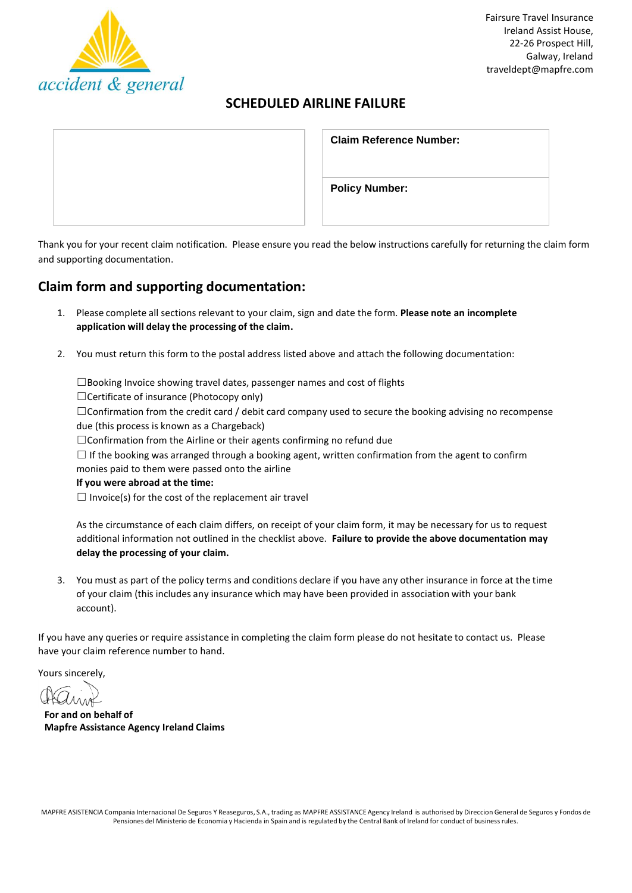

# **SCHEDULED AIRLINE FAILURE**

| <b>Claim Reference Number:</b> |  |  |  |  |
|--------------------------------|--|--|--|--|
| <b>Policy Number:</b>          |  |  |  |  |

Thank you for your recent claim notification. Please ensure you read the below instructions carefully for returning the claim form and supporting documentation.

## **Claim form and supporting documentation:**

- 1. Please complete all sectionsrelevant to your claim, sign and date the form. **Please note an incomplete application will delay the processing of the claim.**
- 2. You must return this form to the postal address listed above and attach the following documentation:

☐Booking Invoice showing travel dates, passenger names and cost of flights

☐Certificate of insurance (Photocopy only)

☐Confirmation from the credit card / debit card company used to secure the booking advising no recompense due (this process is known as a Chargeback)

□Confirmation from the Airline or their agents confirming no refund due

 $\Box$  If the booking was arranged through a booking agent, written confirmation from the agent to confirm monies paid to them were passed onto the airline

**If you were abroad at the time:**

 $\Box$  Invoice(s) for the cost of the replacement air travel

As the circumstance of each claim differs, on receipt of your claim form, it may be necessary for us to request additional information not outlined in the checklist above. **Failure to provide the above documentation may delay the processing of your claim.**

3. You must as part of the policy terms and conditions declare if you have any other insurance in force at the time of your claim (this includes any insurance which may have been provided in association with your bank account).

If you have any queries or require assistance in completing the claim form please do not hesitate to contact us. Please have your claim reference number to hand.

Yours sincerely,

**For and on behalf of Mapfre Assistance Agency Ireland Claims**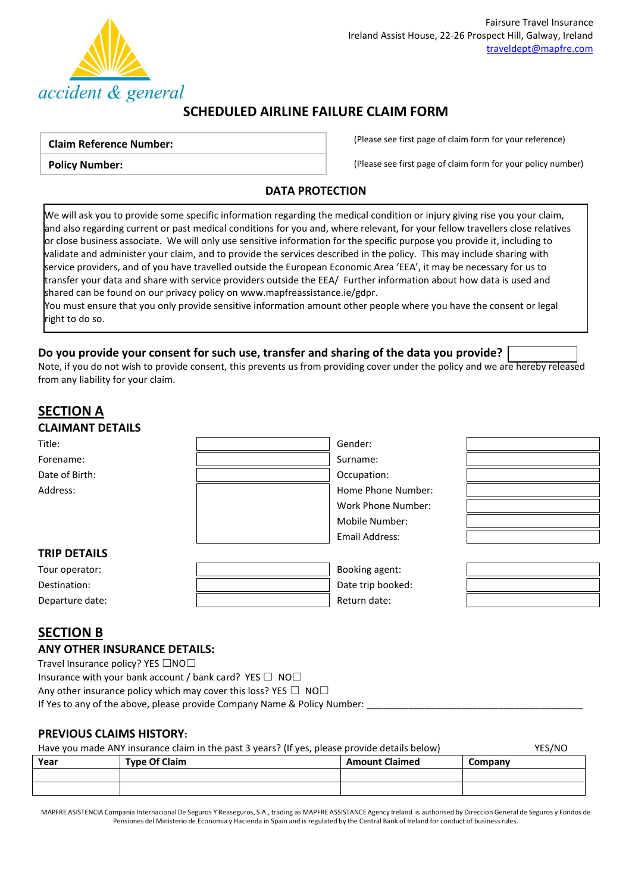

## **SCHEDULED AIRLINE FAILURE CLAIM FORM**

#### **Claim Reference Number:**

**Policy Number:**

(Please see first page of claim form for your reference)

(Please see first page of claim form for your policy number)

### **DATA PROTECTION**

We will ask you to provide some specific information regarding the medical condition or injury giving rise you your claim, and also regarding current or past medical conditions for you and, where relevant, for your fellow travellers close relatives or close business associate. We will only use sensitive information for the specific purpose you provide it, including to validate and administer your claim, and to provide the services described in the policy. This may include sharing with service providers, and of you have travelled outside the European Economic Area 'EEA', it may be necessary for us to transfer your data and share with service providers outside the EEA/ Further information about how data is used and shared can be found on our privacy policy o[n www.mapfreassistance.ie/gdpr.](http://www.mapfreassistance.ie/gdpr)

You must ensure that you only provide sensitive information amount other people where you have the consent or legal right to do so.

### **Do you provide your consent for such use, transfer and sharing of the data you provide?**

Note, if you do not wish to provide consent, this prevents us from providing cover under the policy and we are hereby released from any liability for your claim.

## **SECTION A CLAIMANT DETAILS** Title: Gender: Forename: Surname: Surname: Surname: Surname: Surname: Surname: Surname: Surname: Surname: Surname: Surname: Surname: Surname: Surname: Surname: Surname: Surname: Surname: Surname: Surname: Surname: Surname: Surname: Surna Date of Birth:  $\qquad \qquad \qquad$  Date of Birth: Address: Note and the Mumber: Note and the Mumber: Home Phone Number: Work Phone Number: Mobile Number: Email Address: **TRIP DETAILS** Tour operator: Booking agent: Destination: **Destination: Destination: Destination: Destination: Destination: Destination: Destination: Destination: Destination: Destination: Destination: Destination: Destination: Destination:** Departure date:  $\qquad \qquad$  |  $\qquad \qquad$  Return date:

### **SECTION B**

#### **ANY OTHER INSURANCE DETAILS:**

Travel Insurance policy? YES □NO□

Insurance with your bank account / bank card? YES  $\Box$  NO $\Box$ 

Any other insurance policy which may cover this loss? YES  $\Box$  NO $\Box$ 

If Yes to any of the above, please provide Company Name & Policy Number:

#### **PREVIOUS CLAIMS HISTORY:**

#### Have you made ANY insurance claim in the past 3 years? (If yes, please provide details below) YES/NO

| Year | <b>Type Of Claim</b> | <b>Amount Claimed</b> | Company |  |
|------|----------------------|-----------------------|---------|--|
|      |                      |                       |         |  |
|      |                      |                       |         |  |

MAPFRE ASISTENCIA Compania Internacional De Seguros Y Reaseguros, S.A., trading as MAPFRE ASSISTANCE Agency Ireland is authorised by Direccion General de Seguros y Fondos de Pensiones del Ministerio de Economia y Hacienda in Spain and is regulated by the Central Bank of Ireland for conduct of business rules.